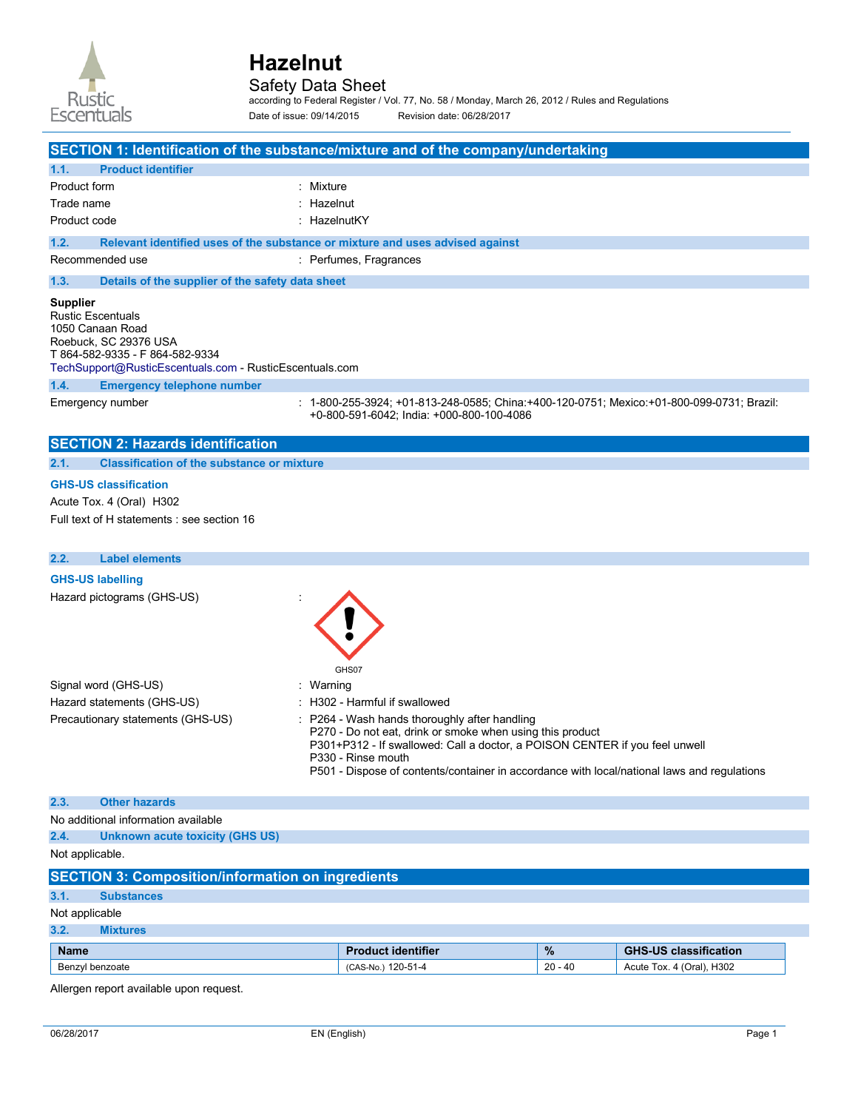

### Safety Data Sheet

according to Federal Register / Vol. 77, No. 58 / Monday, March 26, 2012 / Rules and Regulations Date of issue: 09/14/2015 Revision date: 06/28/2017

|                                             |                                                                                                                                         | SECTION 1: Identification of the substance/mixture and of the company/undertaking                                                      |
|---------------------------------------------|-----------------------------------------------------------------------------------------------------------------------------------------|----------------------------------------------------------------------------------------------------------------------------------------|
| 1.1.                                        | <b>Product identifier</b>                                                                                                               |                                                                                                                                        |
| Product form                                |                                                                                                                                         | : Mixture                                                                                                                              |
| Trade name                                  |                                                                                                                                         | : Hazelnut                                                                                                                             |
| Product code                                |                                                                                                                                         | : HazelnutKY                                                                                                                           |
| 1.2.                                        |                                                                                                                                         | Relevant identified uses of the substance or mixture and uses advised against                                                          |
|                                             | Recommended use                                                                                                                         | : Perfumes, Fragrances                                                                                                                 |
| 1.3.                                        | Details of the supplier of the safety data sheet                                                                                        |                                                                                                                                        |
| <b>Supplier</b><br><b>Rustic Escentuals</b> | 1050 Canaan Road<br>Roebuck, SC 29376 USA<br>T 864-582-9335 - F 864-582-9334<br>TechSupport@RusticEscentuals.com - RusticEscentuals.com |                                                                                                                                        |
| 1.4.                                        | <b>Emergency telephone number</b>                                                                                                       |                                                                                                                                        |
|                                             | Emergency number                                                                                                                        | : 1-800-255-3924; +01-813-248-0585; China:+400-120-0751; Mexico:+01-800-099-0731; Brazil:<br>+0-800-591-6042; India: +000-800-100-4086 |
|                                             | <b>SECTION 2: Hazards identification</b>                                                                                                |                                                                                                                                        |
| 2.1.                                        | <b>Classification of the substance or mixture</b>                                                                                       |                                                                                                                                        |
|                                             | <b>GHS-US classification</b><br>Acute Tox. 4 (Oral) H302<br>Full text of H statements : see section 16                                  |                                                                                                                                        |
| 2.2.                                        | <b>Label elements</b>                                                                                                                   |                                                                                                                                        |
|                                             | <b>GHS-US labelling</b><br>Hazard pictograms (GHS-US)                                                                                   | GHS07                                                                                                                                  |
|                                             | Signal word (GHS-US)                                                                                                                    | Warning                                                                                                                                |

- Hazard statements (GHS-US) : H302 Harmful if swallowed Precautionary statements (GHS-US) : P264 - Wash hands thoroughly after handling
- -
	- -
	- P270 Do not eat, drink or smoke when using this product

P301+P312 - If swallowed: Call a doctor, a POISON CENTER if you feel unwell P330 - Rinse mouth

P501 - Dispose of contents/container in accordance with local/national laws and regulations

#### **2.3. Other hazards**

No additional information available

|--|

Not applicable.

| <b>SECTION 3: Composition/information on ingredients</b> |                   |                           |               |                              |
|----------------------------------------------------------|-------------------|---------------------------|---------------|------------------------------|
| 3.1.                                                     | <b>Substances</b> |                           |               |                              |
| Not applicable                                           |                   |                           |               |                              |
| 3.2.                                                     | <b>Mixtures</b>   |                           |               |                              |
| <b>Name</b>                                              |                   | <b>Product identifier</b> | $\frac{9}{6}$ | <b>GHS-US classification</b> |
| Benzyl benzoate                                          |                   | (CAS-No.) 120-51-4        | 20 - 40       | Acute Tox. 4 (Oral), H302    |

Allergen report available upon request.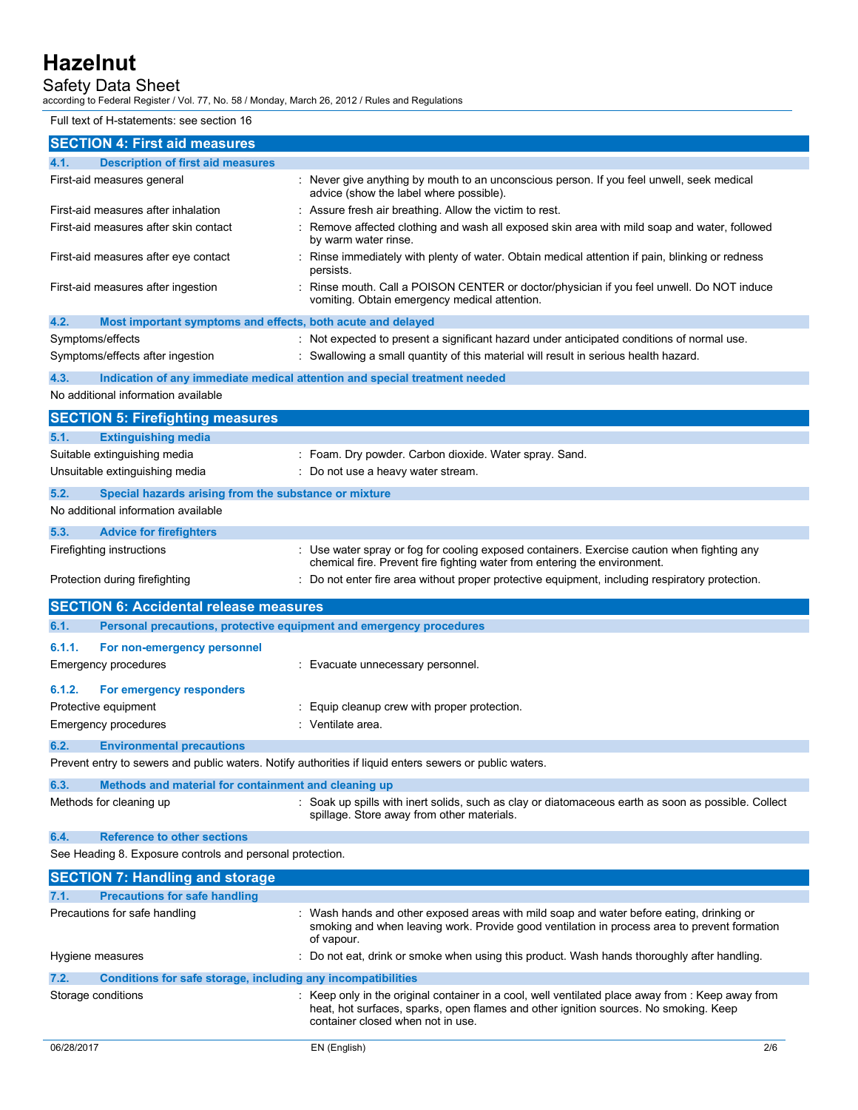## Safety Data Sheet

according to Federal Register / Vol. 77, No. 58 / Monday, March 26, 2012 / Rules and Regulations

Full text of H-statements: see section 16

| <b>SECTION 4: First aid measures</b>                                                                    |                                                                                                                                                                                                                                |
|---------------------------------------------------------------------------------------------------------|--------------------------------------------------------------------------------------------------------------------------------------------------------------------------------------------------------------------------------|
| <b>Description of first aid measures</b><br>4.1.                                                        |                                                                                                                                                                                                                                |
| First-aid measures general                                                                              | : Never give anything by mouth to an unconscious person. If you feel unwell, seek medical<br>advice (show the label where possible).                                                                                           |
| First-aid measures after inhalation                                                                     | : Assure fresh air breathing. Allow the victim to rest.                                                                                                                                                                        |
| First-aid measures after skin contact                                                                   | : Remove affected clothing and wash all exposed skin area with mild soap and water, followed<br>by warm water rinse.                                                                                                           |
| First-aid measures after eye contact                                                                    | : Rinse immediately with plenty of water. Obtain medical attention if pain, blinking or redness<br>persists.                                                                                                                   |
| First-aid measures after ingestion                                                                      | : Rinse mouth. Call a POISON CENTER or doctor/physician if you feel unwell. Do NOT induce<br>vomiting. Obtain emergency medical attention.                                                                                     |
| Most important symptoms and effects, both acute and delayed<br>4.2.                                     |                                                                                                                                                                                                                                |
| Symptoms/effects                                                                                        | : Not expected to present a significant hazard under anticipated conditions of normal use.                                                                                                                                     |
| Symptoms/effects after ingestion                                                                        | : Swallowing a small quantity of this material will result in serious health hazard.                                                                                                                                           |
| 4.3.<br>Indication of any immediate medical attention and special treatment needed                      |                                                                                                                                                                                                                                |
| No additional information available                                                                     |                                                                                                                                                                                                                                |
| <b>SECTION 5: Firefighting measures</b>                                                                 |                                                                                                                                                                                                                                |
| <b>Extinguishing media</b><br>5.1.                                                                      |                                                                                                                                                                                                                                |
| Suitable extinguishing media                                                                            | : Foam. Dry powder. Carbon dioxide. Water spray. Sand.                                                                                                                                                                         |
| Unsuitable extinguishing media                                                                          | : Do not use a heavy water stream.                                                                                                                                                                                             |
| 5.2.<br>Special hazards arising from the substance or mixture                                           |                                                                                                                                                                                                                                |
| No additional information available                                                                     |                                                                                                                                                                                                                                |
| 5.3.<br><b>Advice for firefighters</b>                                                                  |                                                                                                                                                                                                                                |
| Firefighting instructions                                                                               | : Use water spray or fog for cooling exposed containers. Exercise caution when fighting any<br>chemical fire. Prevent fire fighting water from entering the environment.                                                       |
| Protection during firefighting                                                                          | : Do not enter fire area without proper protective equipment, including respiratory protection.                                                                                                                                |
| <b>SECTION 6: Accidental release measures</b>                                                           |                                                                                                                                                                                                                                |
| Personal precautions, protective equipment and emergency procedures<br>6.1.                             |                                                                                                                                                                                                                                |
| 6.1.1.<br>For non-emergency personnel                                                                   |                                                                                                                                                                                                                                |
| <b>Emergency procedures</b>                                                                             | : Evacuate unnecessary personnel.                                                                                                                                                                                              |
| 6.1.2.<br>For emergency responders                                                                      |                                                                                                                                                                                                                                |
| Protective equipment                                                                                    | : Equip cleanup crew with proper protection.                                                                                                                                                                                   |
| <b>Emergency procedures</b>                                                                             | : Ventilate area.                                                                                                                                                                                                              |
| 6.2.<br><b>Environmental precautions</b>                                                                |                                                                                                                                                                                                                                |
| Prevent entry to sewers and public waters. Notify authorities if liquid enters sewers or public waters. |                                                                                                                                                                                                                                |
| 6.3.<br>Methods and material for containment and cleaning up                                            |                                                                                                                                                                                                                                |
| Methods for cleaning up                                                                                 | : Soak up spills with inert solids, such as clay or diatomaceous earth as soon as possible. Collect<br>spillage. Store away from other materials.                                                                              |
| 6.4.<br><b>Reference to other sections</b>                                                              |                                                                                                                                                                                                                                |
|                                                                                                         |                                                                                                                                                                                                                                |
| See Heading 8. Exposure controls and personal protection.                                               |                                                                                                                                                                                                                                |
| <b>SECTION 7: Handling and storage</b>                                                                  |                                                                                                                                                                                                                                |
| 7.1.<br><b>Precautions for safe handling</b>                                                            |                                                                                                                                                                                                                                |
| Precautions for safe handling                                                                           | : Wash hands and other exposed areas with mild soap and water before eating, drinking or<br>smoking and when leaving work. Provide good ventilation in process area to prevent formation<br>of vapour.                         |
| Hygiene measures                                                                                        | : Do not eat, drink or smoke when using this product. Wash hands thoroughly after handling.                                                                                                                                    |
| 7.2.<br>Conditions for safe storage, including any incompatibilities                                    |                                                                                                                                                                                                                                |
| Storage conditions                                                                                      | : Keep only in the original container in a cool, well ventilated place away from : Keep away from<br>heat, hot surfaces, sparks, open flames and other ignition sources. No smoking. Keep<br>container closed when not in use. |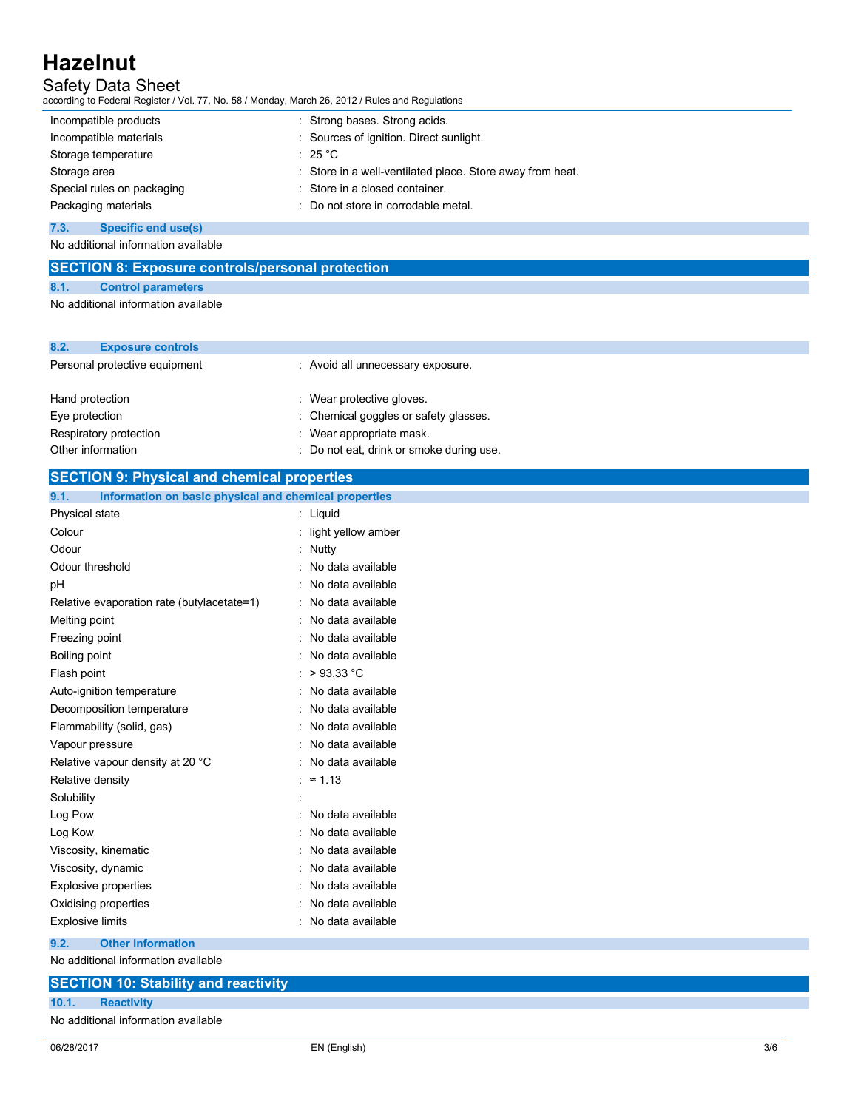## Safety Data Sheet

according to Federal Register / Vol. 77, No. 58 / Monday, March 26, 2012 / Rules and Regulations

| Incompatible products      | : Strong bases. Strong acids.                             |
|----------------------------|-----------------------------------------------------------|
| Incompatible materials     | : Sources of ignition. Direct sunlight.                   |
| Storage temperature        | $\div$ 25 °C $\,$                                         |
| Storage area               | : Store in a well-ventilated place. Store away from heat. |
| Special rules on packaging | : Store in a closed container.                            |
| Packaging materials        | : Do not store in corrodable metal.                       |

**7.3. Specific end use(s)** 

No additional information available

| <b>SECTION 8: Exposure controls/personal protection</b> |                           |  |  |
|---------------------------------------------------------|---------------------------|--|--|
| 8.1.                                                    | <b>Control parameters</b> |  |  |
| No additional information available                     |                           |  |  |

| 8.2.<br><b>Exposure controls</b> |                                          |
|----------------------------------|------------------------------------------|
| Personal protective equipment    | : Avoid all unnecessary exposure.        |
| Hand protection                  | : Wear protective gloves.                |
| Eye protection                   | : Chemical goggles or safety glasses.    |
| Respiratory protection           | : Wear appropriate mask.                 |
| Other information                | : Do not eat, drink or smoke during use. |

## **SECTION 9: Physical and chemical properties**

| Information on basic physical and chemical properties<br>9.1. |
|---------------------------------------------------------------|
|---------------------------------------------------------------|

| Physical state                             | Liquid             |
|--------------------------------------------|--------------------|
| Colour                                     | light yellow amber |
| Odour                                      | Nutty              |
| Odour threshold                            | No data available  |
| рH                                         | No data available  |
| Relative evaporation rate (butylacetate=1) | No data available  |
| Melting point                              | No data available  |
| Freezing point                             | No data available  |
| Boiling point                              | No data available  |
| Flash point                                | >93.33 °C<br>t     |
| Auto-ignition temperature                  | No data available  |
| Decomposition temperature                  | No data available  |
| Flammability (solid, gas)                  | No data available  |
| Vapour pressure                            | No data available  |
| Relative vapour density at 20 °C           | No data available  |
| Relative density                           | $\approx$ 1.13     |
| Solubility                                 |                    |
| Log Pow                                    | No data available  |
| Log Kow                                    | No data available  |
| Viscosity, kinematic                       | No data available  |
| Viscosity, dynamic                         | No data available  |
| <b>Explosive properties</b>                | No data available  |
| Oxidising properties                       | No data available  |
| <b>Explosive limits</b>                    | No data available  |

#### **9.2. Other information**

No additional information available

|                                     | <b>SECTION 10: Stability and reactivity</b> |  |
|-------------------------------------|---------------------------------------------|--|
| 10.1.                               | <b>Reactivity</b>                           |  |
| No additional information available |                                             |  |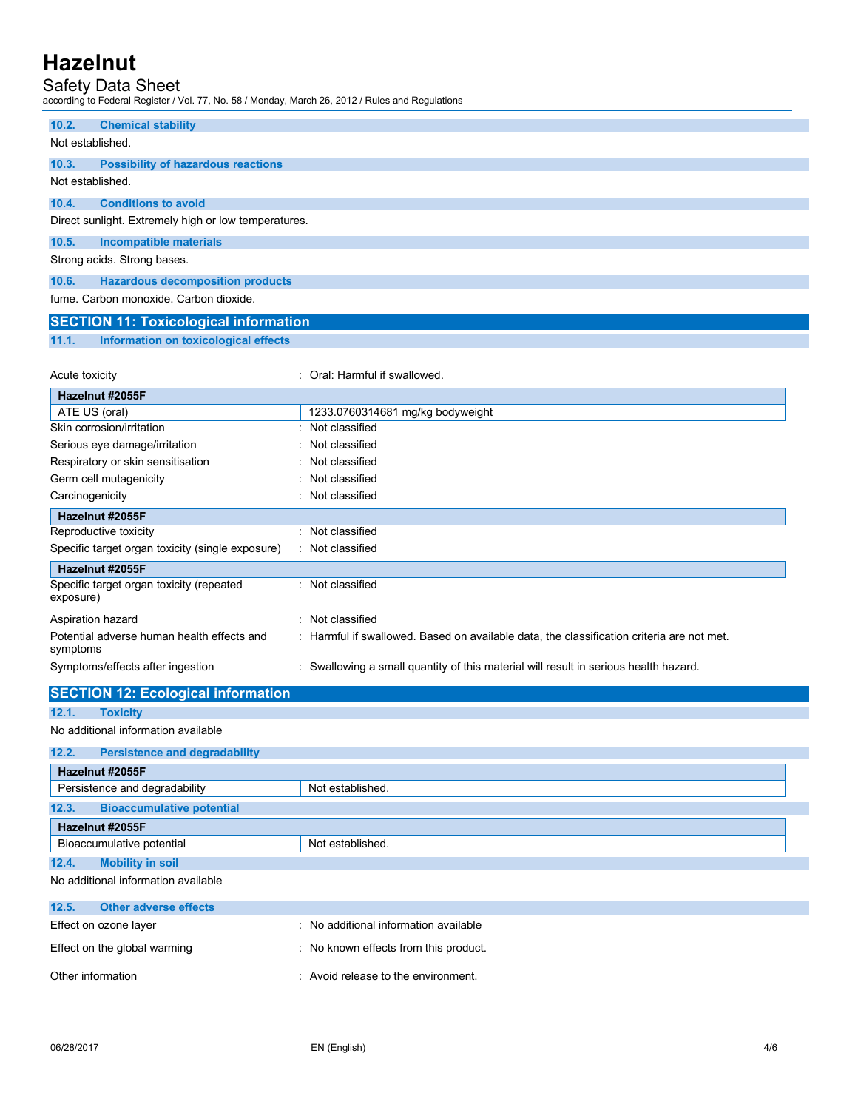### Safety Data Sheet

according to Federal Register / Vol. 77, No. 58 / Monday, March 26, 2012 / Rules and Regulations

| 10.2.                       | <b>Chemical stability</b>                            |  |
|-----------------------------|------------------------------------------------------|--|
| Not established.            |                                                      |  |
| 10.3.                       | <b>Possibility of hazardous reactions</b>            |  |
| Not established.            |                                                      |  |
| 10.4.                       | <b>Conditions to avoid</b>                           |  |
|                             | Direct sunlight. Extremely high or low temperatures. |  |
| 10.5.                       | Incompatible materials                               |  |
| Strong acids. Strong bases. |                                                      |  |
| 10.6.                       | <b>Hazardous decomposition products</b>              |  |
|                             | fume, Carbon monoxide, Carbon dioxide.               |  |

## **SECTION 11: Toxicological information**

**11.1. Information on toxicological effects** 

| Acute toxicity                                         | Oral: Harmful if swallowed.                                                               |
|--------------------------------------------------------|-------------------------------------------------------------------------------------------|
| Hazelnut #2055F                                        |                                                                                           |
| ATE US (oral)                                          | 1233.0760314681 mg/kg bodyweight                                                          |
| Skin corrosion/irritation                              | Not classified                                                                            |
| Serious eye damage/irritation                          | : Not classified                                                                          |
| Respiratory or skin sensitisation                      | : Not classified                                                                          |
| Germ cell mutagenicity                                 | Not classified                                                                            |
| Carcinogenicity                                        | Not classified                                                                            |
| Hazelnut #2055F                                        |                                                                                           |
| Reproductive toxicity                                  | : Not classified                                                                          |
| Specific target organ toxicity (single exposure)       | : Not classified                                                                          |
| Hazelnut #2055F                                        |                                                                                           |
| Specific target organ toxicity (repeated<br>exposure)  | : Not classified                                                                          |
| Aspiration hazard                                      | : Not classified                                                                          |
| Potential adverse human health effects and<br>symptoms | : Harmful if swallowed. Based on available data, the classification criteria are not met. |
| Symptoms/effects after ingestion                       | Swallowing a small quantity of this material will result in serious health hazard.        |

## **SECTION 12: Ecological information**

#### **12.1. Toxicity**  No additional information available

## **12.2. Persistence and degradability Hazelnut #2055F**  Persistence and degradability **Not established.** Not established. **12.3. Bioaccumulative potential Hazelnut #2055F**  Bioaccumulative potential Not established. **12.4. Mobility in soil**

No additional information available

| 12.5.                        | <b>Other adverse effects</b> |                                       |
|------------------------------|------------------------------|---------------------------------------|
| Effect on ozone layer        |                              | : No additional information available |
| Effect on the global warming |                              | : No known effects from this product. |
| Other information            |                              | : Avoid release to the environment.   |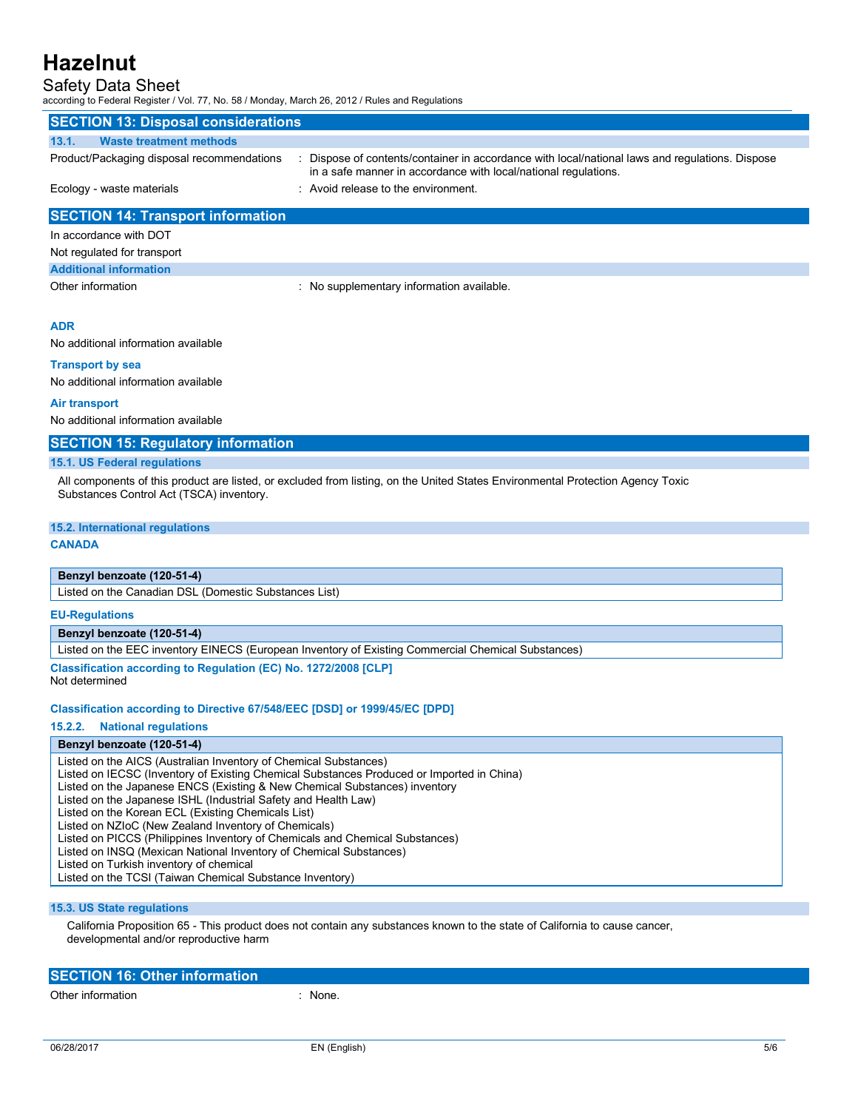## Safety Data Sheet

according to Federal Register / Vol. 77, No. 58 / Monday, March 26, 2012 / Rules and Regulations

| <b>SECTION 13: Disposal considerations</b> |                                                                                                                                                                  |  |  |  |  |  |
|--------------------------------------------|------------------------------------------------------------------------------------------------------------------------------------------------------------------|--|--|--|--|--|
| <b>Waste treatment methods</b><br>13.1.    |                                                                                                                                                                  |  |  |  |  |  |
| Product/Packaging disposal recommendations | Dispose of contents/container in accordance with local/national laws and regulations. Dispose<br>in a safe manner in accordance with local/national regulations. |  |  |  |  |  |
| Ecology - waste materials                  | : Avoid release to the environment.                                                                                                                              |  |  |  |  |  |
| <b>SECTION 14: Transport information</b>   |                                                                                                                                                                  |  |  |  |  |  |
| In accordance with DOT                     |                                                                                                                                                                  |  |  |  |  |  |
| Not regulated for transport                |                                                                                                                                                                  |  |  |  |  |  |
| <b>Additional information</b>              |                                                                                                                                                                  |  |  |  |  |  |
| Other information                          | : No supplementary information available.                                                                                                                        |  |  |  |  |  |

#### **ADR**

No additional information available

#### **Transport by sea**

No additional information available

#### **Air transport**

No additional information available

#### **SECTION 15: Regulatory information**

#### **15.1. US Federal regulations**

All components of this product are listed, or excluded from listing, on the United States Environmental Protection Agency Toxic Substances Control Act (TSCA) inventory.

#### **15.2. International regulations**

#### **CANADA**

#### **Benzyl benzoate (120-51-4)**

Listed on the Canadian DSL (Domestic Substances List)

#### **EU-Regulations**

#### **Benzyl benzoate (120-51-4)**

Listed on the EEC inventory EINECS (European Inventory of Existing Commercial Chemical Substances)

**Classification according to Regulation (EC) No. 1272/2008 [CLP]**  Not determined

#### **Classification according to Directive 67/548/EEC [DSD] or 1999/45/EC [DPD]**

**15.2.2. National regulations** 

#### **Benzyl benzoate (120-51-4)**

Listed on the AICS (Australian Inventory of Chemical Substances) Listed on IECSC (Inventory of Existing Chemical Substances Produced or Imported in China) Listed on the Japanese ENCS (Existing & New Chemical Substances) inventory Listed on the Japanese ISHL (Industrial Safety and Health Law) Listed on the Korean ECL (Existing Chemicals List) Listed on NZIoC (New Zealand Inventory of Chemicals) Listed on PICCS (Philippines Inventory of Chemicals and Chemical Substances) Listed on INSQ (Mexican National Inventory of Chemical Substances) Listed on Turkish inventory of chemical Listed on the TCSI (Taiwan Chemical Substance Inventory)

#### **15.3. US State regulations**

California Proposition 65 - This product does not contain any substances known to the state of California to cause cancer, developmental and/or reproductive harm

| <b>SECTION 16: Other information</b> |       |  |  |  |
|--------------------------------------|-------|--|--|--|
| Other information                    | None. |  |  |  |